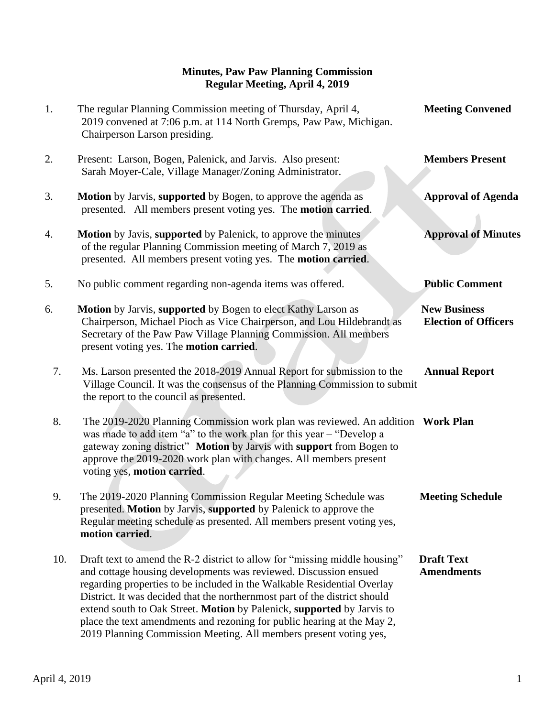## **Minutes, Paw Paw Planning Commission Regular Meeting, April 4, 2019**

1. The regular Planning Commission meeting of Thursday, April 4, **Meeting Convened** 2019 convened at 7:06 p.m. at 114 North Gremps, Paw Paw, Michigan. Chairperson Larson presiding. 2. Present: Larson, Bogen, Palenick, and Jarvis. Also present: **Members Present** Sarah Moyer-Cale, Village Manager/Zoning Administrator. 3. **Motion** by Jarvis, **supported** by Bogen, to approve the agenda as **Approval of Agenda** presented. All members present voting yes. The **motion carried**. 4. **Motion** by Javis, **supported** by Palenick, to approve the minutes **Approval of Minutes** of the regular Planning Commission meeting of March 7, 2019 as presented. All members present voting yes. The **motion carried**. 5. No public comment regarding non-agenda items was offered. **Public Comment** 6. **Motion** by Jarvis, **supported** by Bogen to elect Kathy Larson as **New Business** Chairperson, Michael Pioch as Vice Chairperson, and Lou Hildebrandt as **Election of Officers** Secretary of the Paw Paw Village Planning Commission. All members present voting yes. The **motion carried**. 7. Ms. Larson presented the 2018-2019 Annual Report for submission to the **Annual Report** Village Council. It was the consensus of the Planning Commission to submit the report to the council as presented. 8. The 2019-2020 Planning Commission work plan was reviewed. An addition **Work Plan** was made to add item "a" to the work plan for this year – "Develop a gateway zoning district" **Motion** by Jarvis with **support** from Bogen to approve the 2019-2020 work plan with changes. All members present voting yes, **motion carried**. 9. The 2019-2020 Planning Commission Regular Meeting Schedule was **Meeting Schedule** presented. **Motion** by Jarvis, **supported** by Palenick to approve the Regular meeting schedule as presented. All members present voting yes, **motion carried**. 10. Draft text to amend the R-2 district to allow for "missing middle housing" **Draft Text**  and cottage housing developments was reviewed. Discussion ensued **Amendments** regarding properties to be included in the Walkable Residential Overlay District. It was decided that the northernmost part of the district should extend south to Oak Street. **Motion** by Palenick, **supported** by Jarvis to place the text amendments and rezoning for public hearing at the May 2, 2019 Planning Commission Meeting. All members present voting yes,